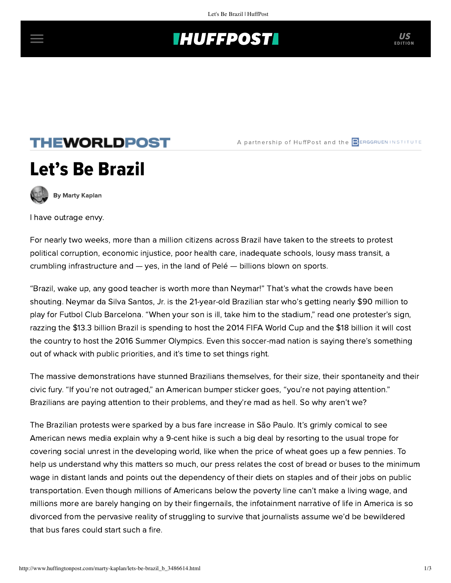## **INUFFPOSTI** US

## **THEWORLDPOST** Let's Be Brazil

A partnership of HuffPost and the **BERGGRUEN INSTITUTE** 



[By Marty Kaplan](http://www.huffingtonpost.com/author/marty-kaplan)

I have outrage envy.

For nearly two weeks, more than a million citizens across Brazil have taken to the streets to protest political corruption, economic injustice, poor health care, inadequate schools, lousy mass transit, a crumbling infrastructure and — yes, [in the land of Pelé](http://www.nytimes.com/2013/06/22/world/americas/how-angry-is-brazil-pele-now-has-feet-of-clay.html?pagewanted=all) — billions blown on sports.

"Brazil, wake up, any good teacher is worth more than Neymar!" That's what the crowds have been shouting. Neymar da Silva Santos, Jr. is the 21-year-old Brazilian star who's getting nearly \$90 million to play for Futbol Club Barcelona. "When your son is ill, take him to the stadium," read one protester's sign, razzing the \$13.3 billion Brazil is spending to host the 2014 FIFA World Cup and the \$18 billion it will cost the country to host the 2016 Summer Olympics. Even this soccer-mad nation is saying there's something out of whack with public priorities, and it's time to set things right.

The [massive demonstrations](http://articles.latimes.com/2013/jun/20/world/la-fg-ff-brazil-protests-20130621) have [stunned Brazilians themselves,](http://www.nytimes.com/2013/06/21/world/americas/brazil-protests.html?pagewanted=all) for their size, their spontaneity and their civic fury. "If you're not outraged," an American bumper sticker goes, "you're not paying attention." Brazilians are paying attention to their problems, and they're mad as hell. So why aren't we?

The Brazilian protests were sparked by a bus fare increase in São Paulo. It's grimly comical to see American news media explain why a 9-cent hike is such a big deal by resorting to the usual trope for covering social unrest in the developing world, like when the price of wheat goes up a few pennies. To help us understand why this matters so much, our press relates the cost of bread or buses to the minimum wage in distant lands and points out the dependency of their diets on staples and of their jobs on public transportation. Even though millions of Americans below the poverty line can't make a living wage, and millions more are barely hanging on by their fingernails, the infotainment narrative of life in America is so divorced from the pervasive reality of struggling to survive that journalists assume we'd be bewildered that bus fares could start such a fire.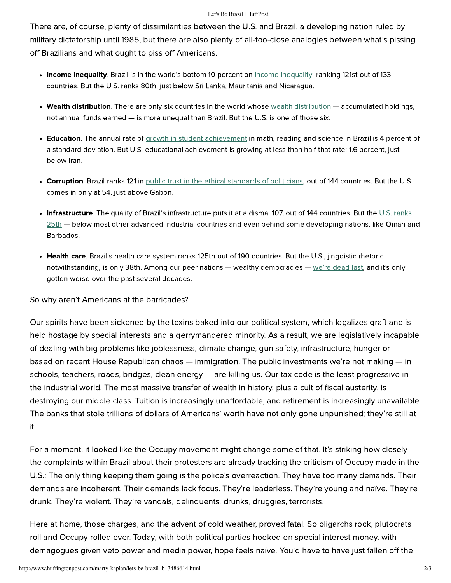## Let's Be Brazil | HuffPost

There are, of course, plenty of dissimilarities between the U.S. and Brazil, a developing nation ruled by military dictatorship until 1985, but there are also plenty of all-too-close analogies between what's pissing off Brazilians and what ought to piss off Americans.

- Income inequality. Brazil is in the world's bottom 10 percent on [income inequality](http://www.gfmag.com/tools/global-database/economic-data/11944-wealth-distribution-income-inequality.html#axzz2WxsMtZ5y), ranking 121st out of 133 countries. But the U.S. ranks 80th, just below Sri Lanka, Mauritania and Nicaragua.
- Wealth distribution. There are only six countries in the world whose [wealth distribution](http://en.wikipedia.org/wiki/List_of_countries_by_distribution_of_wealth) accumulated holdings, not annual funds earned — is more unequal than Brazil. But the U.S. is one of those six.
- Education. The annual rate of [growth in student achievement](http://www.hks.harvard.edu/pepg/PDF/Papers/PEPG12-03_CatchingUp.pdf) in math, reading and science in Brazil is 4 percent of a standard deviation. But U.S. educational achievement is growing at less than half that rate: 1.6 percent, just below Iran.
- Corruption. Brazil ranks 121 in [public trust in the ethical standards of politicians,](http://www3.weforum.org/docs/WEF_GlobalCompetitivenessReport_2012-13.pdf) out of 144 countries. But the U.S. comes in only at 54, just above Gabon.
- Infrastructure. The quality of Brazil's infrastructure puts it at a dismal 107, out of 144 countries. But the U.S. ranks 25th [— below most other advanced industrial countries and even behind some developing nations, like Oman an](http://www.businessinsider.com/us-infrastructure-behind-developed-world-2013-1)d Barbados.
- Health care. Brazil's health care system ranks 125th out of 190 countries. But the U.S., jingoistic rhetoric notwithstanding, is only 38th. Among our peer nations — wealthy democracies — [we're dead last](http://www.jewishjournal.com/marty_kaplan/article/being_american_is_bad_for_your_health), and it's only gotten worse over the past several decades.

So why aren't Americans at the barricades?

Our spirits have been sickened by the toxins baked into our political system, which legalizes graft and is held hostage by special interests and a gerrymandered minority. As a result, we are legislatively incapable of dealing with big problems like joblessness, climate change, gun safety, infrastructure, hunger or based on recent House Republican chaos — immigration. The public investments we're not making — in schools, teachers, roads, bridges, clean energy — are killing us. Our tax code is the [least progressive](http://www.thedailybeast.com/newsweek/blogs/the-gaggle/2010/04/15/why-america-s-tax-code-is-the-least-progressive-in-the-industrialized-world.html) in the industrial world. The most massive transfer of wealth in history, plus a cult of fiscal austerity, is destroying our middle class. Tuition is increasingly unaffordable, and retirement is increasingly unavailable. The banks that stole trillions of dollars of Americans' worth have not only gone unpunished; they're still at it.

For a moment, it looked like the Occupy movement might change some of that. It's striking how closely the complaints within Brazil about their protesters are already tracking the criticism of Occupy made in the U.S.: The only thing keeping them going is the police's overreaction. They have too many demands. Their demands are [incoherent](http://articles.latimes.com/2013/jun/21/world/la-fg-ff-brazil-protests-20130622). Their demands lack focus. They're leaderless. They're young and naïve. They're drunk. They're [violent](http://www.nytimes.com/2013/06/22/world/americas/sweeping-protests-in-brazil-pull-in-an-array-of-grievances.html). They're vandals, delinquents, drunks, druggies, terrorists.

Here at home, those charges, and the advent of cold weather, proved fatal. So oligarchs rock, plutocrats roll and Occupy rolled over. Today, with both political parties hooked on special interest money, with demagogues given veto power and media power, hope feels naïve. You'd have to have just fallen off the